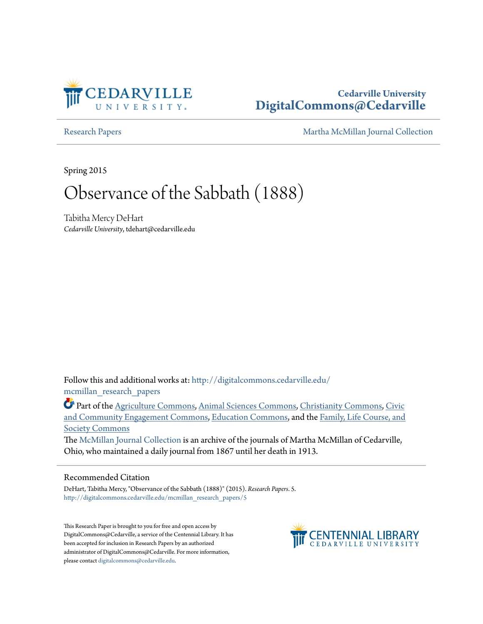

## **Cedarville University [DigitalCommons@Cedarville](http://digitalcommons.cedarville.edu?utm_source=digitalcommons.cedarville.edu%2Fmcmillan_research_papers%2F5&utm_medium=PDF&utm_campaign=PDFCoverPages)**

[Research Papers](http://digitalcommons.cedarville.edu/mcmillan_research_papers?utm_source=digitalcommons.cedarville.edu%2Fmcmillan_research_papers%2F5&utm_medium=PDF&utm_campaign=PDFCoverPages) [Martha McMillan Journal Collection](http://digitalcommons.cedarville.edu/mcmillan_journal_collection?utm_source=digitalcommons.cedarville.edu%2Fmcmillan_research_papers%2F5&utm_medium=PDF&utm_campaign=PDFCoverPages)

Spring 2015

# Observance of the Sabbath (1888)

Tabitha Mercy DeHart *Cedarville University*, tdehart@cedarville.edu

Follow this and additional works at: [http://digitalcommons.cedarville.edu/](http://digitalcommons.cedarville.edu/mcmillan_research_papers?utm_source=digitalcommons.cedarville.edu%2Fmcmillan_research_papers%2F5&utm_medium=PDF&utm_campaign=PDFCoverPages) [mcmillan\\_research\\_papers](http://digitalcommons.cedarville.edu/mcmillan_research_papers?utm_source=digitalcommons.cedarville.edu%2Fmcmillan_research_papers%2F5&utm_medium=PDF&utm_campaign=PDFCoverPages)

Part of the [Agriculture Commons](http://network.bepress.com/hgg/discipline/1076?utm_source=digitalcommons.cedarville.edu%2Fmcmillan_research_papers%2F5&utm_medium=PDF&utm_campaign=PDFCoverPages), [Animal Sciences Commons,](http://network.bepress.com/hgg/discipline/76?utm_source=digitalcommons.cedarville.edu%2Fmcmillan_research_papers%2F5&utm_medium=PDF&utm_campaign=PDFCoverPages) [Christianity Commons](http://network.bepress.com/hgg/discipline/1181?utm_source=digitalcommons.cedarville.edu%2Fmcmillan_research_papers%2F5&utm_medium=PDF&utm_campaign=PDFCoverPages), [Civic](http://network.bepress.com/hgg/discipline/1028?utm_source=digitalcommons.cedarville.edu%2Fmcmillan_research_papers%2F5&utm_medium=PDF&utm_campaign=PDFCoverPages) [and Community Engagement Commons,](http://network.bepress.com/hgg/discipline/1028?utm_source=digitalcommons.cedarville.edu%2Fmcmillan_research_papers%2F5&utm_medium=PDF&utm_campaign=PDFCoverPages) [Education Commons,](http://network.bepress.com/hgg/discipline/784?utm_source=digitalcommons.cedarville.edu%2Fmcmillan_research_papers%2F5&utm_medium=PDF&utm_campaign=PDFCoverPages) and the [Family, Life Course, and](http://network.bepress.com/hgg/discipline/419?utm_source=digitalcommons.cedarville.edu%2Fmcmillan_research_papers%2F5&utm_medium=PDF&utm_campaign=PDFCoverPages) [Society Commons](http://network.bepress.com/hgg/discipline/419?utm_source=digitalcommons.cedarville.edu%2Fmcmillan_research_papers%2F5&utm_medium=PDF&utm_campaign=PDFCoverPages)

The [McMillan Journal Collection](http://digitalcommons.cedarville.edu/mcmillan_journal_collection/) is an archive of the journals of Martha McMillan of Cedarville, Ohio, who maintained a daily journal from 1867 until her death in 1913.

#### Recommended Citation

DeHart, Tabitha Mercy, "Observance of the Sabbath (1888)" (2015). *Research Papers*. 5. [http://digitalcommons.cedarville.edu/mcmillan\\_research\\_papers/5](http://digitalcommons.cedarville.edu/mcmillan_research_papers/5?utm_source=digitalcommons.cedarville.edu%2Fmcmillan_research_papers%2F5&utm_medium=PDF&utm_campaign=PDFCoverPages)

This Research Paper is brought to you for free and open access by DigitalCommons@Cedarville, a service of the Centennial Library. It has been accepted for inclusion in Research Papers by an authorized administrator of DigitalCommons@Cedarville. For more information, please contact [digitalcommons@cedarville.edu.](mailto:digitalcommons@cedarville.edu)

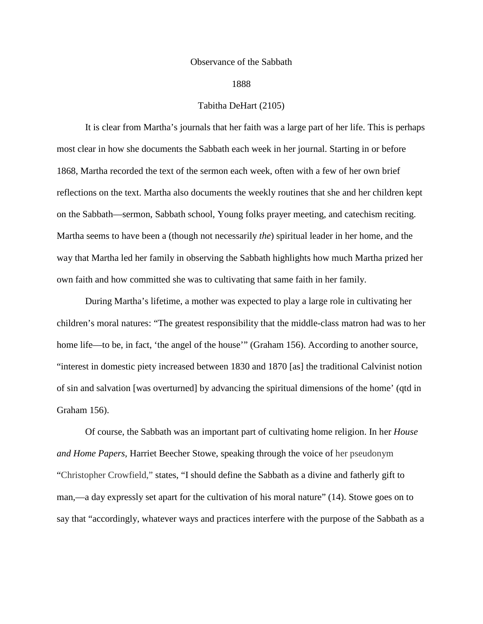#### Observance of the Sabbath

#### 1888

#### Tabitha DeHart (2105)

It is clear from Martha's journals that her faith was a large part of her life. This is perhaps most clear in how she documents the Sabbath each week in her journal. Starting in or before 1868, Martha recorded the text of the sermon each week, often with a few of her own brief reflections on the text. Martha also documents the weekly routines that she and her children kept on the Sabbath—sermon, Sabbath school, Young folks prayer meeting, and catechism reciting. Martha seems to have been a (though not necessarily *the*) spiritual leader in her home, and the way that Martha led her family in observing the Sabbath highlights how much Martha prized her own faith and how committed she was to cultivating that same faith in her family.

During Martha's lifetime, a mother was expected to play a large role in cultivating her children's moral natures: "The greatest responsibility that the middle-class matron had was to her home life—to be, in fact, 'the angel of the house'" (Graham 156). According to another source, "interest in domestic piety increased between 1830 and 1870 [as] the traditional Calvinist notion of sin and salvation [was overturned] by advancing the spiritual dimensions of the home' (qtd in Graham 156).

Of course, the Sabbath was an important part of cultivating home religion. In her *House and Home Papers,* Harriet Beecher Stowe, speaking through the voice of her pseudonym "Christopher Crowfield," states, "I should define the Sabbath as a divine and fatherly gift to man,—a day expressly set apart for the cultivation of his moral nature" (14). Stowe goes on to say that "accordingly, whatever ways and practices interfere with the purpose of the Sabbath as a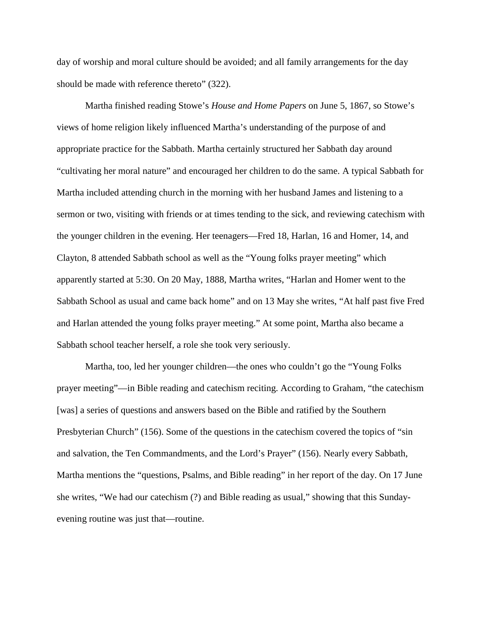day of worship and moral culture should be avoided; and all family arrangements for the day should be made with reference thereto" (322).

Martha finished reading Stowe's *House and Home Papers* on June 5, 1867, so Stowe's views of home religion likely influenced Martha's understanding of the purpose of and appropriate practice for the Sabbath. Martha certainly structured her Sabbath day around "cultivating her moral nature" and encouraged her children to do the same. A typical Sabbath for Martha included attending church in the morning with her husband James and listening to a sermon or two, visiting with friends or at times tending to the sick, and reviewing catechism with the younger children in the evening. Her teenagers—Fred 18, Harlan, 16 and Homer, 14, and Clayton, 8 attended Sabbath school as well as the "Young folks prayer meeting" which apparently started at 5:30. On 20 May, 1888, Martha writes, "Harlan and Homer went to the Sabbath School as usual and came back home" and on 13 May she writes, "At half past five Fred and Harlan attended the young folks prayer meeting." At some point, Martha also became a Sabbath school teacher herself, a role she took very seriously.

Martha, too, led her younger children—the ones who couldn't go the "Young Folks prayer meeting"—in Bible reading and catechism reciting. According to Graham, "the catechism [was] a series of questions and answers based on the Bible and ratified by the Southern Presbyterian Church" (156). Some of the questions in the catechism covered the topics of "sin and salvation, the Ten Commandments, and the Lord's Prayer" (156). Nearly every Sabbath, Martha mentions the "questions, Psalms, and Bible reading" in her report of the day. On 17 June she writes, "We had our catechism (?) and Bible reading as usual," showing that this Sundayevening routine was just that—routine.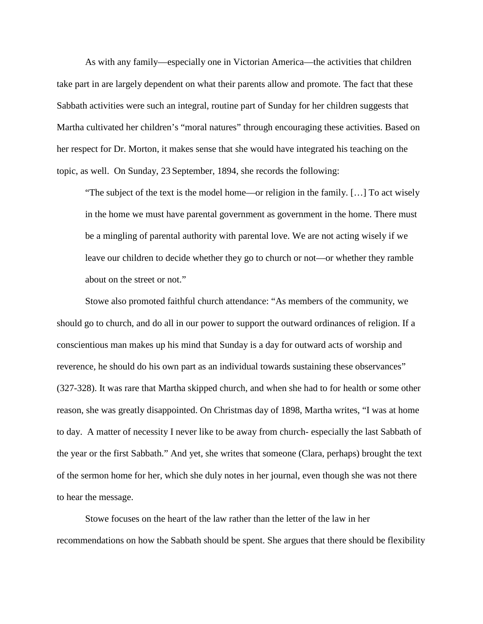As with any family—especially one in Victorian America—the activities that children take part in are largely dependent on what their parents allow and promote. The fact that these Sabbath activities were such an integral, routine part of Sunday for her children suggests that Martha cultivated her children's "moral natures" through encouraging these activities. Based on her respect for Dr. Morton, it makes sense that she would have integrated his teaching on the topic, as well. On Sunday, 23 September, 1894, she records the following:

"The subject of the text is the model home—or religion in the family. […] To act wisely in the home we must have parental government as government in the home. There must be a mingling of parental authority with parental love. We are not acting wisely if we leave our children to decide whether they go to church or not—or whether they ramble about on the street or not."

Stowe also promoted faithful church attendance: "As members of the community, we should go to church, and do all in our power to support the outward ordinances of religion. If a conscientious man makes up his mind that Sunday is a day for outward acts of worship and reverence, he should do his own part as an individual towards sustaining these observances" (327-328). It was rare that Martha skipped church, and when she had to for health or some other reason, she was greatly disappointed. On Christmas day of 1898, Martha writes, "I was at home to day. A matter of necessity I never like to be away from church- especially the last Sabbath of the year or the first Sabbath." And yet, she writes that someone (Clara, perhaps) brought the text of the sermon home for her, which she duly notes in her journal, even though she was not there to hear the message.

Stowe focuses on the heart of the law rather than the letter of the law in her recommendations on how the Sabbath should be spent. She argues that there should be flexibility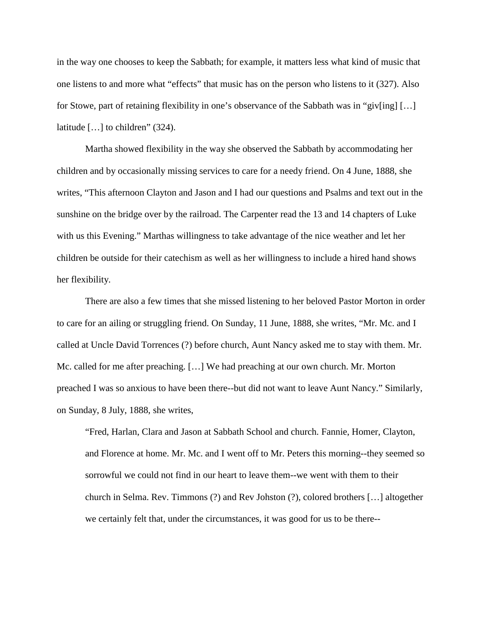in the way one chooses to keep the Sabbath; for example, it matters less what kind of music that one listens to and more what "effects" that music has on the person who listens to it (327). Also for Stowe, part of retaining flexibility in one's observance of the Sabbath was in "giv[ing]  $[\dots]$ latitude […] to children" (324).

Martha showed flexibility in the way she observed the Sabbath by accommodating her children and by occasionally missing services to care for a needy friend. On 4 June, 1888, she writes, "This afternoon Clayton and Jason and I had our questions and Psalms and text out in the sunshine on the bridge over by the railroad. The Carpenter read the 13 and 14 chapters of Luke with us this Evening." Marthas willingness to take advantage of the nice weather and let her children be outside for their catechism as well as her willingness to include a hired hand shows her flexibility.

There are also a few times that she missed listening to her beloved Pastor Morton in order to care for an ailing or struggling friend. On Sunday, 11 June, 1888, she writes, "Mr. Mc. and I called at Uncle David Torrences (?) before church, Aunt Nancy asked me to stay with them. Mr. Mc. called for me after preaching. […] We had preaching at our own church. Mr. Morton preached I was so anxious to have been there--but did not want to leave Aunt Nancy." Similarly, on Sunday, 8 July, 1888, she writes,

"Fred, Harlan, Clara and Jason at Sabbath School and church. Fannie, Homer, Clayton, and Florence at home. Mr. Mc. and I went off to Mr. Peters this morning--they seemed so sorrowful we could not find in our heart to leave them--we went with them to their church in Selma. Rev. Timmons (?) and Rev Johston (?), colored brothers […] altogether we certainly felt that, under the circumstances, it was good for us to be there--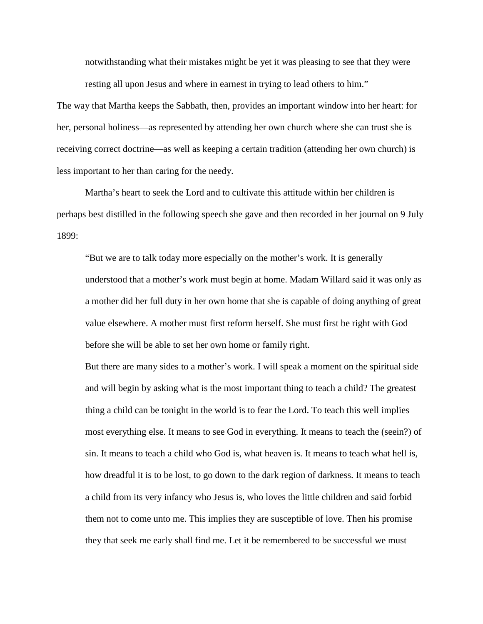notwithstanding what their mistakes might be yet it was pleasing to see that they were resting all upon Jesus and where in earnest in trying to lead others to him."

The way that Martha keeps the Sabbath, then, provides an important window into her heart: for her, personal holiness—as represented by attending her own church where she can trust she is receiving correct doctrine—as well as keeping a certain tradition (attending her own church) is less important to her than caring for the needy.

Martha's heart to seek the Lord and to cultivate this attitude within her children is perhaps best distilled in the following speech she gave and then recorded in her journal on 9 July 1899:

"But we are to talk today more especially on the mother's work. It is generally understood that a mother's work must begin at home. Madam Willard said it was only as a mother did her full duty in her own home that she is capable of doing anything of great value elsewhere. A mother must first reform herself. She must first be right with God before she will be able to set her own home or family right.

But there are many sides to a mother's work. I will speak a moment on the spiritual side and will begin by asking what is the most important thing to teach a child? The greatest thing a child can be tonight in the world is to fear the Lord. To teach this well implies most everything else. It means to see God in everything. It means to teach the (seein?) of sin. It means to teach a child who God is, what heaven is. It means to teach what hell is, how dreadful it is to be lost, to go down to the dark region of darkness. It means to teach a child from its very infancy who Jesus is, who loves the little children and said forbid them not to come unto me. This implies they are susceptible of love. Then his promise they that seek me early shall find me. Let it be remembered to be successful we must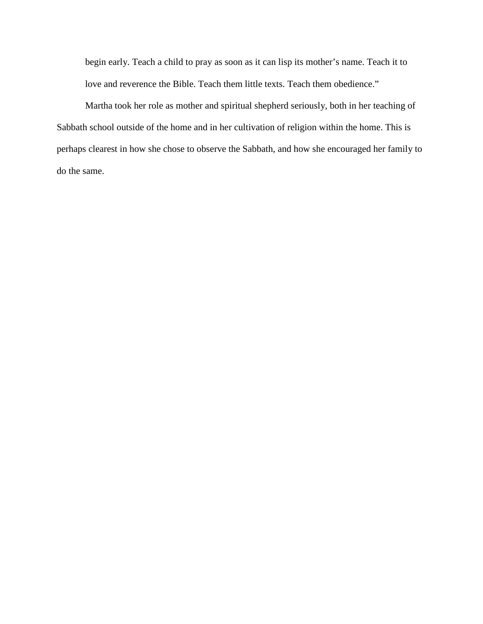begin early. Teach a child to pray as soon as it can lisp its mother's name. Teach it to love and reverence the Bible. Teach them little texts. Teach them obedience."

Martha took her role as mother and spiritual shepherd seriously, both in her teaching of Sabbath school outside of the home and in her cultivation of religion within the home. This is perhaps clearest in how she chose to observe the Sabbath, and how she encouraged her family to do the same.